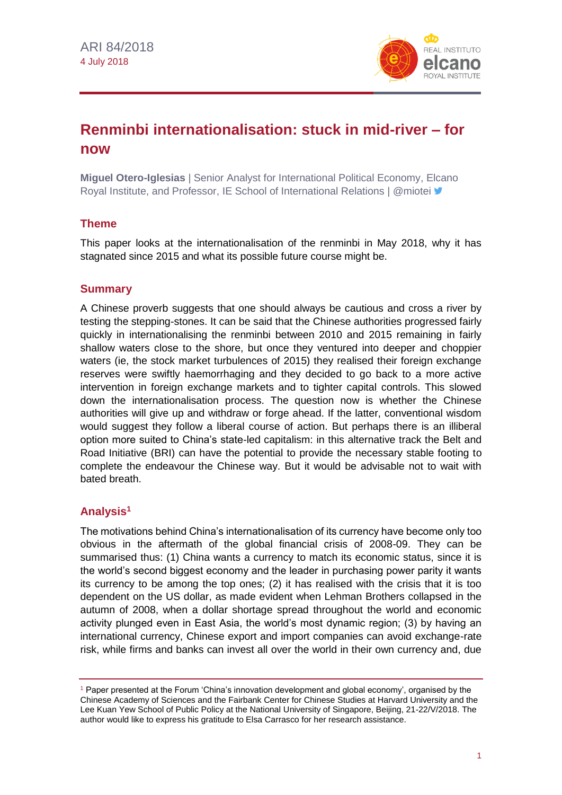

# **Renminbi internationalisation: stuck in mid-river – for now**

**Miguel Otero-Iglesias** | Senior Analyst for International Political Economy, Elcano Roval Institute, and Professor, IE School of International Relations | @miotei "

# **Theme**

This paper looks at the internationalisation of the renminbi in May 2018, why it has stagnated since 2015 and what its possible future course might be.

# **Summary**

A Chinese proverb suggests that one should always be cautious and cross a river by testing the stepping-stones. It can be said that the Chinese authorities progressed fairly quickly in internationalising the renminbi between 2010 and 2015 remaining in fairly shallow waters close to the shore, but once they ventured into deeper and choppier waters (ie, the stock market turbulences of 2015) they realised their foreign exchange reserves were swiftly haemorrhaging and they decided to go back to a more active intervention in foreign exchange markets and to tighter capital controls. This slowed down the internationalisation process. The question now is whether the Chinese authorities will give up and withdraw or forge ahead. If the latter, conventional wisdom would suggest they follow a liberal course of action. But perhaps there is an illiberal option more suited to China's state-led capitalism: in this alternative track the Belt and Road Initiative (BRI) can have the potential to provide the necessary stable footing to complete the endeavour the Chinese way. But it would be advisable not to wait with bated breath.

# **Analysis<sup>1</sup>**

The motivations behind China's internationalisation of its currency have become only too obvious in the aftermath of the global financial crisis of 2008-09. They can be summarised thus: (1) China wants a currency to match its economic status, since it is the world's second biggest economy and the leader in purchasing power parity it wants its currency to be among the top ones; (2) it has realised with the crisis that it is too dependent on the US dollar, as made evident when Lehman Brothers collapsed in the autumn of 2008, when a dollar shortage spread throughout the world and economic activity plunged even in East Asia, the world's most dynamic region; (3) by having an international currency, Chinese export and import companies can avoid exchange-rate risk, while firms and banks can invest all over the world in their own currency and, due

<sup>1</sup> Paper presented at the Forum 'China's innovation development and global economy', organised by the Chinese Academy of Sciences and the Fairbank Center for Chinese Studies at Harvard University and the Lee Kuan Yew School of Public Policy at the National University of Singapore, Beijing, 21-22/V/2018. The author would like to express his gratitude to Elsa Carrasco for her research assistance.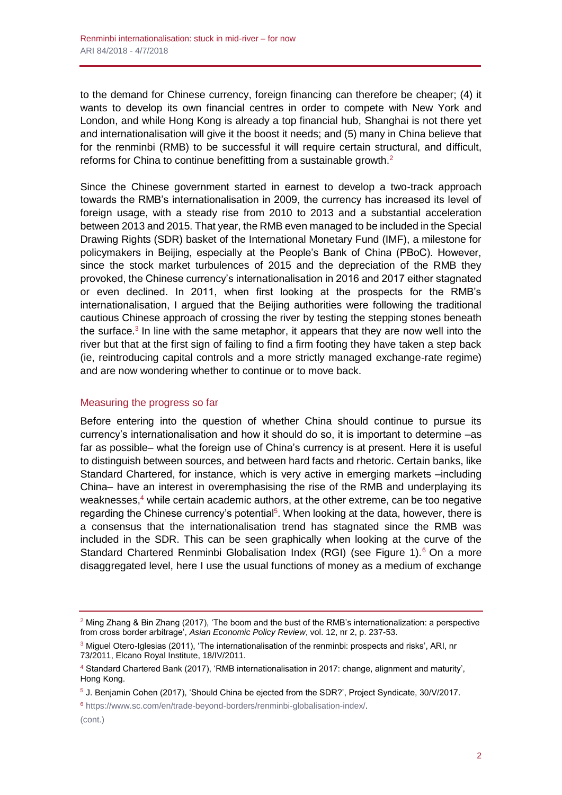to the demand for Chinese currency, foreign financing can therefore be cheaper; (4) it wants to develop its own financial centres in order to compete with New York and London, and while Hong Kong is already a top financial hub, Shanghai is not there yet and internationalisation will give it the boost it needs; and (5) many in China believe that for the renminbi (RMB) to be successful it will require certain structural, and difficult, reforms for China to continue benefitting from a sustainable growth.<sup>2</sup>

Since the Chinese government started in earnest to develop a two-track approach towards the RMB's internationalisation in 2009, the currency has increased its level of foreign usage, with a steady rise from 2010 to 2013 and a substantial acceleration between 2013 and 2015. That year, the RMB even managed to be included in the Special Drawing Rights (SDR) basket of the International Monetary Fund (IMF), a milestone for policymakers in Beijing, especially at the People's Bank of China (PBoC). However, since the stock market turbulences of 2015 and the depreciation of the RMB they provoked, the Chinese currency's internationalisation in 2016 and 2017 either stagnated or even declined. In 2011, when first looking at the prospects for the RMB's internationalisation, I argued that the Beijing authorities were following the traditional cautious Chinese approach of crossing the river by testing the stepping stones beneath the surface.<sup>3</sup> In line with the same metaphor, it appears that they are now well into the river but that at the first sign of failing to find a firm footing they have taken a step back (ie, reintroducing capital controls and a more strictly managed exchange-rate regime) and are now wondering whether to continue or to move back.

#### Measuring the progress so far

Before entering into the question of whether China should continue to pursue its currency's internationalisation and how it should do so, it is important to determine –as far as possible– what the foreign use of China's currency is at present. Here it is useful to distinguish between sources, and between hard facts and rhetoric. Certain banks, like Standard Chartered, for instance, which is very active in emerging markets –including China– have an interest in overemphasising the rise of the RMB and underplaying its weaknesses, $4$  while certain academic authors, at the other extreme, can be too negative regarding the Chinese currency's potential<sup>5</sup>. When looking at the data, however, there is a consensus that the internationalisation trend has stagnated since the RMB was included in the SDR. This can be seen graphically when looking at the curve of the Standard Chartered Renminbi Globalisation Index (RGI) (see Figure 1).<sup>6</sup> On a more disaggregated level, here I use the usual functions of money as a medium of exchange

<sup>6</sup> [https://www.sc.com/en/trade-beyond-borders/renminbi-globalisation-index/.](https://www.sc.com/en/trade-beyond-borders/renminbi-globalisation-index/)

<sup>2</sup> Ming Zhang & Bin Zhang (2017), 'The boom and the bust of the RMB's internationalization: a perspective from cross border arbitrage', *Asian Economic Policy Review*, vol. 12, nr 2, p. 237-53.

<sup>&</sup>lt;sup>3</sup> Miguel Otero-Iglesias (2011), 'The internationalisation of the renminbi: prospects and risks', ARI, nr 73/2011, Elcano Royal Institute, 18/IV/2011.

<sup>4</sup> Standard Chartered Bank (2017), 'RMB internationalisation in 2017: change, alignment and maturity', Hong Kong.

<sup>5</sup> J. Benjamin Cohen (2017), 'Should China be ejected from the SDR?', Project Syndicate, 30/V/2017.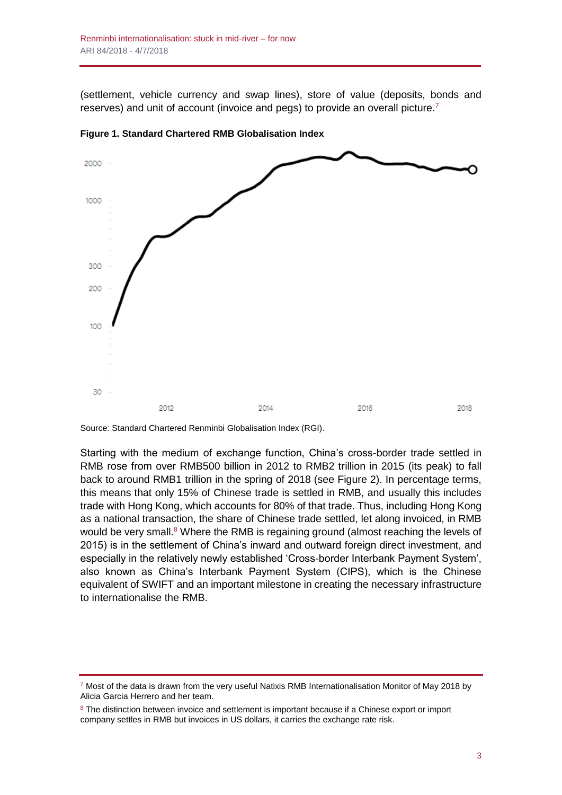(settlement, vehicle currency and swap lines), store of value (deposits, bonds and reserves) and unit of account (invoice and pegs) to provide an overall picture.<sup>7</sup>



**Figure 1. Standard Chartered RMB Globalisation Index**

Source: Standard Chartered Renminbi Globalisation Index (RGI).

Starting with the medium of exchange function, China's cross-border trade settled in RMB rose from over RMB500 billion in 2012 to RMB2 trillion in 2015 (its peak) to fall back to around RMB1 trillion in the spring of 2018 (see Figure 2). In percentage terms, this means that only 15% of Chinese trade is settled in RMB, and usually this includes trade with Hong Kong, which accounts for 80% of that trade. Thus, including Hong Kong as a national transaction, the share of Chinese trade settled, let along invoiced, in RMB would be very small.<sup>8</sup> Where the RMB is regaining ground (almost reaching the levels of 2015) is in the settlement of China's inward and outward foreign direct investment, and especially in the relatively newly established 'Cross-border Interbank Payment System', also known as China's Interbank Payment System (CIPS), which is the Chinese equivalent of SWIFT and an important milestone in creating the necessary infrastructure to internationalise the RMB.

<sup>&</sup>lt;sup>7</sup> Most of the data is drawn from the very useful Natixis RMB Internationalisation Monitor of May 2018 by Alicia Garcia Herrero and her team.

<sup>&</sup>lt;sup>8</sup> The distinction between invoice and settlement is important because if a Chinese export or import company settles in RMB but invoices in US dollars, it carries the exchange rate risk.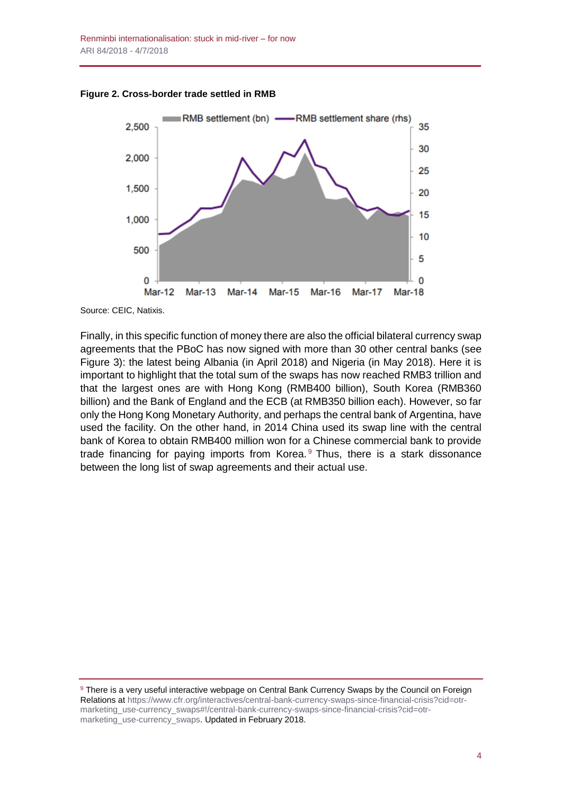**Figure 2. Cross-border trade settled in RMB**



Source: CEIC, Natixis.

Finally, in this specific function of money there are also the official bilateral currency swap agreements that the PBoC has now signed with more than 30 other central banks (see Figure 3): the latest being Albania (in April 2018) and Nigeria (in May 2018). Here it is important to highlight that the total sum of the swaps has now reached RMB3 trillion and that the largest ones are with Hong Kong (RMB400 billion), South Korea (RMB360 billion) and the Bank of England and the ECB (at RMB350 billion each). However, so far only the Hong Kong Monetary Authority, and perhaps the central bank of Argentina, have used the facility. On the other hand, in 2014 China used its swap line with the central bank of Korea to obtain RMB400 million won for a Chinese commercial bank to provide trade financing for paying imports from Korea. $9$  Thus, there is a stark dissonance between the long list of swap agreements and their actual use.

<sup>&</sup>lt;sup>9</sup> There is a very useful interactive webpage on Central Bank Currency Swaps by the Council on Foreign Relations at [https://www.cfr.org/interactives/central-bank-currency-swaps-since-financial-crisis?cid=otr](https://www.cfr.org/interactives/central-bank-currency-swaps-since-financial-crisis?cid=otr-marketing_use-currency_swaps#!/central-bank-currency-swaps-since-financial-crisis?cid=otr-marketing_use-currency_swaps)[marketing\\_use-currency\\_swaps#!/central-bank-currency-swaps-since-financial-crisis?cid=otr](https://www.cfr.org/interactives/central-bank-currency-swaps-since-financial-crisis?cid=otr-marketing_use-currency_swaps#!/central-bank-currency-swaps-since-financial-crisis?cid=otr-marketing_use-currency_swaps)[marketing\\_use-currency\\_swaps.](https://www.cfr.org/interactives/central-bank-currency-swaps-since-financial-crisis?cid=otr-marketing_use-currency_swaps#!/central-bank-currency-swaps-since-financial-crisis?cid=otr-marketing_use-currency_swaps) Updated in February 2018.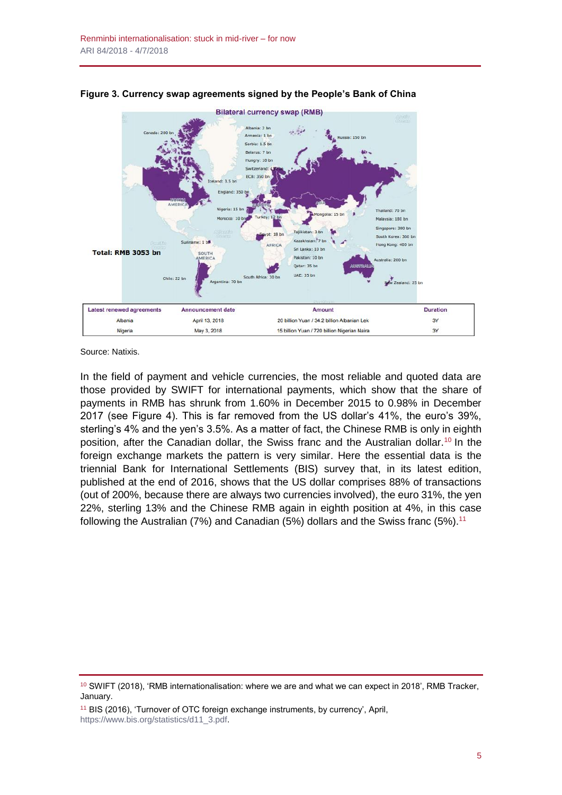

**Figure 3. Currency swap agreements signed by the People's Bank of China**

Source: Natixis.

In the field of payment and vehicle currencies, the most reliable and quoted data are those provided by SWIFT for international payments, which show that the share of payments in RMB has shrunk from 1.60% in December 2015 to 0.98% in December 2017 (see Figure 4). This is far removed from the US dollar's 41%, the euro's 39%, sterling's 4% and the yen's 3.5%. As a matter of fact, the Chinese RMB is only in eighth position, after the Canadian dollar, the Swiss franc and the Australian dollar.<sup>10</sup> In the foreign exchange markets the pattern is very similar. Here the essential data is the triennial Bank for International Settlements (BIS) survey that, in its latest edition, published at the end of 2016, shows that the US dollar comprises 88% of transactions (out of 200%, because there are always two currencies involved), the euro 31%, the yen 22%, sterling 13% and the Chinese RMB again in eighth position at 4%, in this case following the Australian (7%) and Canadian (5%) dollars and the Swiss franc (5%).<sup>11</sup>

 $10$  SWIFT (2018), 'RMB internationalisation: where we are and what we can expect in 2018', RMB Tracker, January.

<sup>&</sup>lt;sup>11</sup> BIS (2016), 'Turnover of OTC foreign exchange instruments, by currency', April, [https://www.bis.org/statistics/d11\\_3.pdf.](https://www.bis.org/statistics/d11_3.pdf)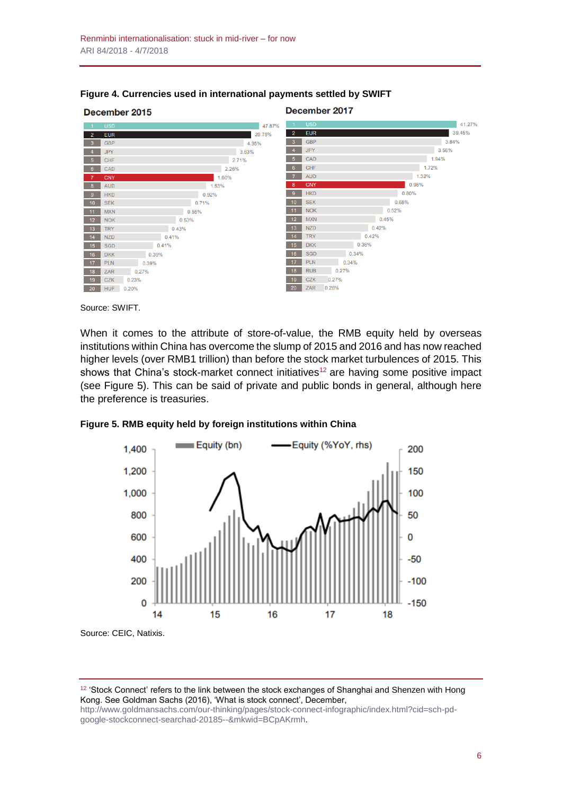

#### **Figure 4. Currencies used in international payments settled by SWIFT**

Source: SWIFT.

When it comes to the attribute of store-of-value, the RMB equity held by overseas institutions within China has overcome the slump of 2015 and 2016 and has now reached higher levels (over RMB1 trillion) than before the stock market turbulences of 2015. This shows that China's stock-market connect initiatives<sup>12</sup> are having some positive impact (see Figure 5). This can be said of private and public bonds in general, although here the preference is treasuries.





<sup>12</sup> 'Stock Connect' refers to the link between the stock exchanges of Shanghai and Shenzen with Hong

Kong. See Goldman Sachs (2016), 'What is stock connect', December, [http://www.goldmansachs.com/our-thinking/pages/stock-connect-infographic/index.html?cid=sch-pd-](http://www.goldmansachs.com/our-thinking/pages/stock-connect-infographic/index.html?cid=sch-pd-google-stockconnect-searchad-20185--&mkwid=BCpAKrmh)

[google-stockconnect-searchad-20185--&mkwid=BCpAKrmh.](http://www.goldmansachs.com/our-thinking/pages/stock-connect-infographic/index.html?cid=sch-pd-google-stockconnect-searchad-20185--&mkwid=BCpAKrmh)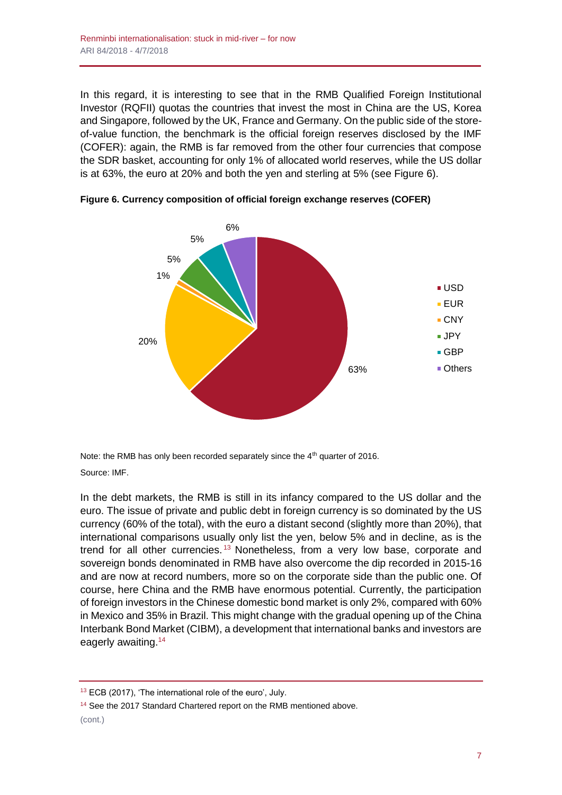In this regard, it is interesting to see that in the RMB Qualified Foreign Institutional Investor (RQFII) quotas the countries that invest the most in China are the US, Korea and Singapore, followed by the UK, France and Germany. On the public side of the storeof-value function, the benchmark is the official foreign reserves disclosed by the IMF (COFER): again, the RMB is far removed from the other four currencies that compose the SDR basket, accounting for only 1% of allocated world reserves, while the US dollar is at 63%, the euro at 20% and both the yen and sterling at 5% (see Figure 6).



**Figure 6. Currency composition of official foreign exchange reserves (COFER)**

Note: the RMB has only been recorded separately since the 4<sup>th</sup> quarter of 2016. Source: IMF.

In the debt markets, the RMB is still in its infancy compared to the US dollar and the euro. The issue of private and public debt in foreign currency is so dominated by the US currency (60% of the total), with the euro a distant second (slightly more than 20%), that international comparisons usually only list the yen, below 5% and in decline, as is the trend for all other currencies.<sup>13</sup> Nonetheless, from a very low base, corporate and sovereign bonds denominated in RMB have also overcome the dip recorded in 2015-16 and are now at record numbers, more so on the corporate side than the public one. Of course, here China and the RMB have enormous potential. Currently, the participation of foreign investors in the Chinese domestic bond market is only 2%, compared with 60% in Mexico and 35% in Brazil. This might change with the gradual opening up of the China Interbank Bond Market (CIBM), a development that international banks and investors are eagerly awaiting.<sup>14</sup>

<sup>&</sup>lt;sup>13</sup> ECB (2017), 'The international role of the euro', July.

<sup>&</sup>lt;sup>14</sup> See the 2017 Standard Chartered report on the RMB mentioned above.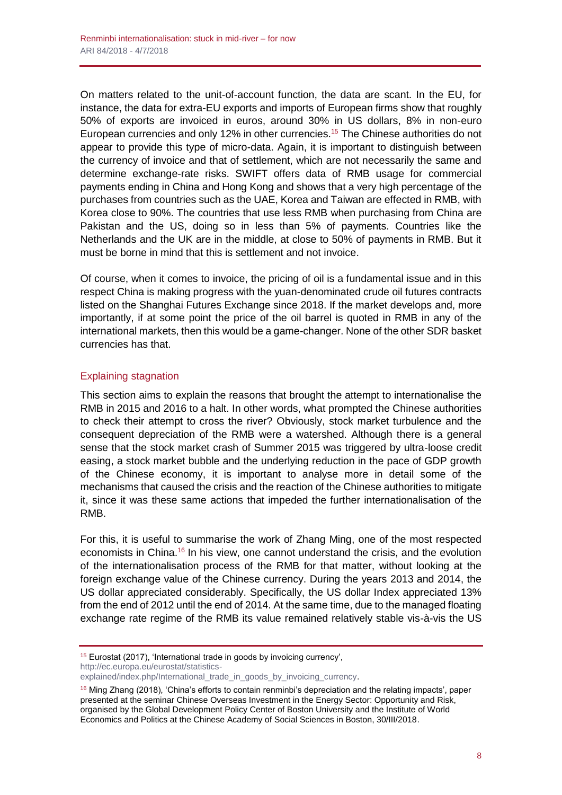On matters related to the unit-of-account function, the data are scant. In the EU, for instance, the data for extra-EU exports and imports of European firms show that roughly 50% of exports are invoiced in euros, around 30% in US dollars, 8% in non-euro European currencies and only 12% in other currencies.<sup>15</sup> The Chinese authorities do not appear to provide this type of micro-data. Again, it is important to distinguish between the currency of invoice and that of settlement, which are not necessarily the same and determine exchange-rate risks. SWIFT offers data of RMB usage for commercial payments ending in China and Hong Kong and shows that a very high percentage of the purchases from countries such as the UAE, Korea and Taiwan are effected in RMB, with Korea close to 90%. The countries that use less RMB when purchasing from China are Pakistan and the US, doing so in less than 5% of payments. Countries like the Netherlands and the UK are in the middle, at close to 50% of payments in RMB. But it must be borne in mind that this is settlement and not invoice.

Of course, when it comes to invoice, the pricing of oil is a fundamental issue and in this respect China is making progress with the yuan-denominated crude oil futures contracts listed on the Shanghai Futures Exchange since 2018. If the market develops and, more importantly, if at some point the price of the oil barrel is quoted in RMB in any of the international markets, then this would be a game-changer. None of the other SDR basket currencies has that.

### Explaining stagnation

This section aims to explain the reasons that brought the attempt to internationalise the RMB in 2015 and 2016 to a halt. In other words, what prompted the Chinese authorities to check their attempt to cross the river? Obviously, stock market turbulence and the consequent depreciation of the RMB were a watershed. Although there is a general sense that the stock market crash of Summer 2015 was triggered by ultra-loose credit easing, a stock market bubble and the underlying reduction in the pace of GDP growth of the Chinese economy, it is important to analyse more in detail some of the mechanisms that caused the crisis and the reaction of the Chinese authorities to mitigate it, since it was these same actions that impeded the further internationalisation of the RMB.

For this, it is useful to summarise the work of Zhang Ming, one of the most respected economists in China.<sup>16</sup> In his view, one cannot understand the crisis, and the evolution of the internationalisation process of the RMB for that matter, without looking at the foreign exchange value of the Chinese currency. During the years 2013 and 2014, the US dollar appreciated considerably. Specifically, the US dollar Index appreciated 13% from the end of 2012 until the end of 2014. At the same time, due to the managed floating exchange rate regime of the RMB its value remained relatively stable vis-à-vis the US

[http://ec.europa.eu/eurostat/statistics-](http://ec.europa.eu/eurostat/statistics-explained/index.php/International_trade_in_goods_by_invoicing_currency)

<sup>15</sup> Eurostat (2017), 'International trade in goods by invoicing currency',

[explained/index.php/International\\_trade\\_in\\_goods\\_by\\_invoicing\\_currency.](http://ec.europa.eu/eurostat/statistics-explained/index.php/International_trade_in_goods_by_invoicing_currency)

 $16$  Ming Zhang (2018), 'China's efforts to contain renminbi's depreciation and the relating impacts', paper presented at the seminar Chinese Overseas Investment in the Energy Sector: Opportunity and Risk, organised by the Global Development Policy Center of Boston University and the Institute of World Economics and Politics at the Chinese Academy of Social Sciences in Boston, 30/III/2018.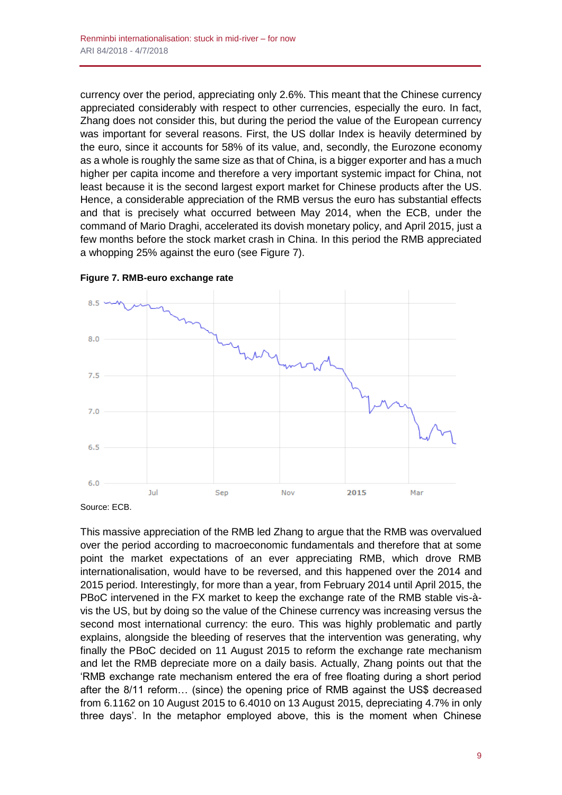currency over the period, appreciating only 2.6%. This meant that the Chinese currency appreciated considerably with respect to other currencies, especially the euro. In fact, Zhang does not consider this, but during the period the value of the European currency was important for several reasons. First, the US dollar Index is heavily determined by the euro, since it accounts for 58% of its value, and, secondly, the Eurozone economy as a whole is roughly the same size as that of China, is a bigger exporter and has a much higher per capita income and therefore a very important systemic impact for China, not least because it is the second largest export market for Chinese products after the US. Hence, a considerable appreciation of the RMB versus the euro has substantial effects and that is precisely what occurred between May 2014, when the ECB, under the command of Mario Draghi, accelerated its dovish monetary policy, and April 2015, just a few months before the stock market crash in China. In this period the RMB appreciated a whopping 25% against the euro (see Figure 7).



**Figure 7. RMB-euro exchange rate**

Source: ECB.

This massive appreciation of the RMB led Zhang to argue that the RMB was overvalued over the period according to macroeconomic fundamentals and therefore that at some point the market expectations of an ever appreciating RMB, which drove RMB internationalisation, would have to be reversed, and this happened over the 2014 and 2015 period. Interestingly, for more than a year, from February 2014 until April 2015, the PBoC intervened in the FX market to keep the exchange rate of the RMB stable vis-àvis the US, but by doing so the value of the Chinese currency was increasing versus the second most international currency: the euro. This was highly problematic and partly explains, alongside the bleeding of reserves that the intervention was generating, why finally the PBoC decided on 11 August 2015 to reform the exchange rate mechanism and let the RMB depreciate more on a daily basis. Actually, Zhang points out that the 'RMB exchange rate mechanism entered the era of free floating during a short period after the 8/11 reform… (since) the opening price of RMB against the US\$ decreased from 6.1162 on 10 August 2015 to 6.4010 on 13 August 2015, depreciating 4.7% in only three days'. In the metaphor employed above, this is the moment when Chinese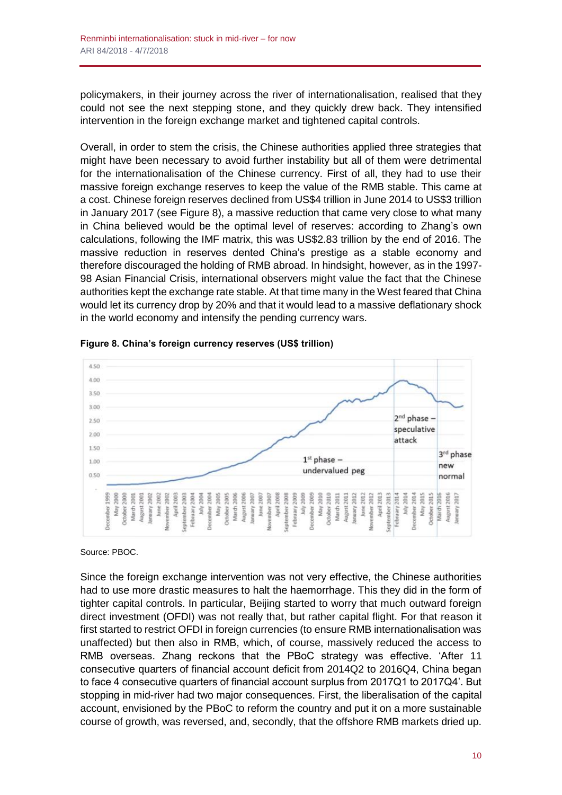policymakers, in their journey across the river of internationalisation, realised that they could not see the next stepping stone, and they quickly drew back. They intensified intervention in the foreign exchange market and tightened capital controls.

Overall, in order to stem the crisis, the Chinese authorities applied three strategies that might have been necessary to avoid further instability but all of them were detrimental for the internationalisation of the Chinese currency. First of all, they had to use their massive foreign exchange reserves to keep the value of the RMB stable. This came at a cost. Chinese foreign reserves declined from US\$4 trillion in June 2014 to US\$3 trillion in January 2017 (see Figure 8), a massive reduction that came very close to what many in China believed would be the optimal level of reserves: according to Zhang's own calculations, following the IMF matrix, this was US\$2.83 trillion by the end of 2016. The massive reduction in reserves dented China's prestige as a stable economy and therefore discouraged the holding of RMB abroad. In hindsight, however, as in the 1997- 98 Asian Financial Crisis, international observers might value the fact that the Chinese authorities kept the exchange rate stable. At that time many in the West feared that China would let its currency drop by 20% and that it would lead to a massive deflationary shock in the world economy and intensify the pending currency wars.





Source: PBOC.

Since the foreign exchange intervention was not very effective, the Chinese authorities had to use more drastic measures to halt the haemorrhage. This they did in the form of tighter capital controls. In particular, Beijing started to worry that much outward foreign direct investment (OFDI) was not really that, but rather capital flight. For that reason it first started to restrict OFDI in foreign currencies (to ensure RMB internationalisation was unaffected) but then also in RMB, which, of course, massively reduced the access to RMB overseas. Zhang reckons that the PBoC strategy was effective. 'After 11 consecutive quarters of financial account deficit from 2014Q2 to 2016Q4, China began to face 4 consecutive quarters of financial account surplus from 2017Q1 to 2017Q4'. But stopping in mid-river had two major consequences. First, the liberalisation of the capital account, envisioned by the PBoC to reform the country and put it on a more sustainable course of growth, was reversed, and, secondly, that the offshore RMB markets dried up.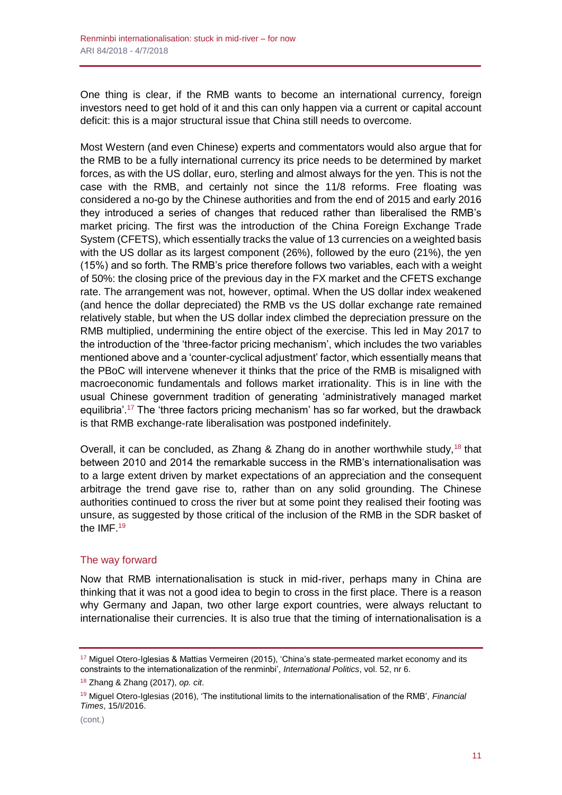One thing is clear, if the RMB wants to become an international currency, foreign investors need to get hold of it and this can only happen via a current or capital account deficit: this is a major structural issue that China still needs to overcome.

Most Western (and even Chinese) experts and commentators would also argue that for the RMB to be a fully international currency its price needs to be determined by market forces, as with the US dollar, euro, sterling and almost always for the yen. This is not the case with the RMB, and certainly not since the 11/8 reforms. Free floating was considered a no-go by the Chinese authorities and from the end of 2015 and early 2016 they introduced a series of changes that reduced rather than liberalised the RMB's market pricing. The first was the introduction of the China Foreign Exchange Trade System (CFETS), which essentially tracks the value of 13 currencies on a weighted basis with the US dollar as its largest component (26%), followed by the euro (21%), the yen (15%) and so forth. The RMB's price therefore follows two variables, each with a weight of 50%: the closing price of the previous day in the FX market and the CFETS exchange rate. The arrangement was not, however, optimal. When the US dollar index weakened (and hence the dollar depreciated) the RMB vs the US dollar exchange rate remained relatively stable, but when the US dollar index climbed the depreciation pressure on the RMB multiplied, undermining the entire object of the exercise. This led in May 2017 to the introduction of the 'three-factor pricing mechanism', which includes the two variables mentioned above and a 'counter-cyclical adjustment' factor, which essentially means that the PBoC will intervene whenever it thinks that the price of the RMB is misaligned with macroeconomic fundamentals and follows market irrationality. This is in line with the usual Chinese government tradition of generating 'administratively managed market equilibria'.<sup>17</sup> The 'three factors pricing mechanism' has so far worked, but the drawback is that RMB exchange-rate liberalisation was postponed indefinitely.

Overall, it can be concluded, as Zhang & Zhang do in another worthwhile study,  $18$  that between 2010 and 2014 the remarkable success in the RMB's internationalisation was to a large extent driven by market expectations of an appreciation and the consequent arbitrage the trend gave rise to, rather than on any solid grounding. The Chinese authorities continued to cross the river but at some point they realised their footing was unsure, as suggested by those critical of the inclusion of the RMB in the SDR basket of the IMF.<sup>19</sup>

#### The way forward

Now that RMB internationalisation is stuck in mid-river, perhaps many in China are thinking that it was not a good idea to begin to cross in the first place. There is a reason why Germany and Japan, two other large export countries, were always reluctant to internationalise their currencies. It is also true that the timing of internationalisation is a

<sup>&</sup>lt;sup>17</sup> Miguel Otero-Iglesias & Mattias Vermeiren (2015), 'China's state-permeated market economy and its constraints to the internationalization of the renminbi', *International Politics*, vol. 52, nr 6.

<sup>18</sup> Zhang & Zhang (2017), *op. cit*.

<sup>19</sup> Miguel Otero-Iglesias (2016), 'The institutional limits to the internationalisation of the RMB', *Financial Times*, 15/I/2016.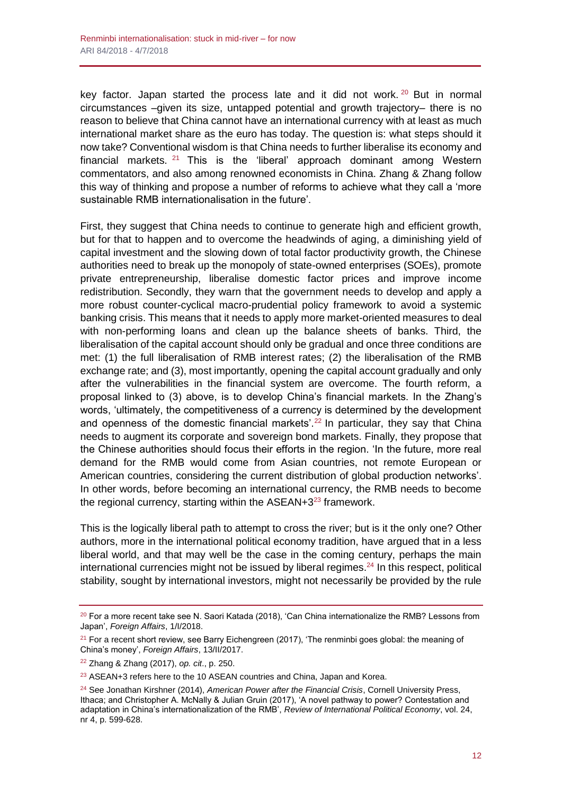key factor. Japan started the process late and it did not work.  $20$  But in normal circumstances –given its size, untapped potential and growth trajectory– there is no reason to believe that China cannot have an international currency with at least as much international market share as the euro has today. The question is: what steps should it now take? Conventional wisdom is that China needs to further liberalise its economy and financial markets. <sup>21</sup> This is the 'liberal' approach dominant among Western commentators, and also among renowned economists in China. Zhang & Zhang follow this way of thinking and propose a number of reforms to achieve what they call a 'more sustainable RMB internationalisation in the future'.

First, they suggest that China needs to continue to generate high and efficient growth, but for that to happen and to overcome the headwinds of aging, a diminishing yield of capital investment and the slowing down of total factor productivity growth, the Chinese authorities need to break up the monopoly of state-owned enterprises (SOEs), promote private entrepreneurship, liberalise domestic factor prices and improve income redistribution. Secondly, they warn that the government needs to develop and apply a more robust counter-cyclical macro-prudential policy framework to avoid a systemic banking crisis. This means that it needs to apply more market-oriented measures to deal with non-performing loans and clean up the balance sheets of banks. Third, the liberalisation of the capital account should only be gradual and once three conditions are met: (1) the full liberalisation of RMB interest rates; (2) the liberalisation of the RMB exchange rate; and (3), most importantly, opening the capital account gradually and only after the vulnerabilities in the financial system are overcome. The fourth reform, a proposal linked to (3) above, is to develop China's financial markets. In the Zhang's words, 'ultimately, the competitiveness of a currency is determined by the development and openness of the domestic financial markets'.<sup>22</sup> In particular, they say that China needs to augment its corporate and sovereign bond markets. Finally, they propose that the Chinese authorities should focus their efforts in the region. 'In the future, more real demand for the RMB would come from Asian countries, not remote European or American countries, considering the current distribution of global production networks'. In other words, before becoming an international currency, the RMB needs to become the regional currency, starting within the  $ASEAN+3^{23}$  framework.

This is the logically liberal path to attempt to cross the river; but is it the only one? Other authors, more in the international political economy tradition, have argued that in a less liberal world, and that may well be the case in the coming century, perhaps the main international currencies might not be issued by liberal regimes.<sup>24</sup> In this respect, political stability, sought by international investors, might not necessarily be provided by the rule

<sup>&</sup>lt;sup>20</sup> For a more recent take see N. Saori Katada (2018), 'Can China internationalize the RMB? Lessons from Japan', *Foreign Affairs*, 1/I/2018.

 $21$  For a recent short review, see Barry Eichengreen (2017), 'The renminbi goes global: the meaning of China's money', *Foreign Affairs*, 13/II/2017.

<sup>22</sup> Zhang & Zhang (2017), *op. cit*., p. 250.

<sup>23</sup> ASEAN+3 refers here to the 10 ASEAN countries and China, Japan and Korea.

<sup>24</sup> See Jonathan Kirshner (2014), *American Power after the Financial Crisis*, Cornell University Press, Ithaca; and Christopher A. McNally & Julian Gruin (2017), 'A novel pathway to power? Contestation and adaptation in China's internationalization of the RMB', *Review of International Political Economy*, vol. 24, nr 4, p. 599-628.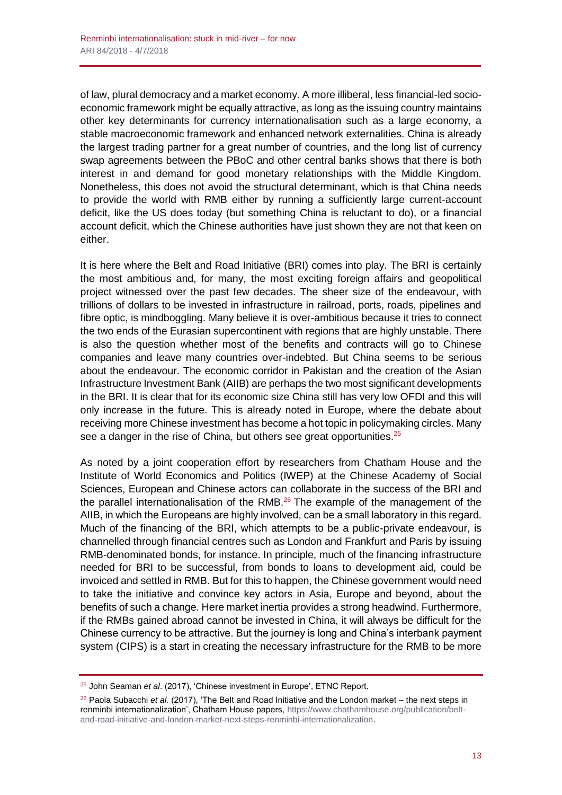of law, plural democracy and a market economy. A more illiberal, less financial-led socioeconomic framework might be equally attractive, as long as the issuing country maintains other key determinants for currency internationalisation such as a large economy, a stable macroeconomic framework and enhanced network externalities. China is already the largest trading partner for a great number of countries, and the long list of currency swap agreements between the PBoC and other central banks shows that there is both interest in and demand for good monetary relationships with the Middle Kingdom. Nonetheless, this does not avoid the structural determinant, which is that China needs to provide the world with RMB either by running a sufficiently large current-account deficit, like the US does today (but something China is reluctant to do), or a financial account deficit, which the Chinese authorities have just shown they are not that keen on either.

It is here where the Belt and Road Initiative (BRI) comes into play. The BRI is certainly the most ambitious and, for many, the most exciting foreign affairs and geopolitical project witnessed over the past few decades. The sheer size of the endeavour, with trillions of dollars to be invested in infrastructure in railroad, ports, roads, pipelines and fibre optic, is mindboggling. Many believe it is over-ambitious because it tries to connect the two ends of the Eurasian supercontinent with regions that are highly unstable. There is also the question whether most of the benefits and contracts will go to Chinese companies and leave many countries over-indebted. But China seems to be serious about the endeavour. The economic corridor in Pakistan and the creation of the Asian Infrastructure Investment Bank (AIIB) are perhaps the two most significant developments in the BRI. It is clear that for its economic size China still has very low OFDI and this will only increase in the future. This is already noted in Europe, where the debate about receiving more Chinese investment has become a hot topic in policymaking circles. Many see a danger in the rise of China, but others see great opportunities.<sup>25</sup>

As noted by a joint cooperation effort by researchers from Chatham House and the Institute of World Economics and Politics (IWEP) at the Chinese Academy of Social Sciences, European and Chinese actors can collaborate in the success of the BRI and the parallel internationalisation of the RMB. $26$  The example of the management of the AIIB, in which the Europeans are highly involved, can be a small laboratory in this regard. Much of the financing of the BRI, which attempts to be a public-private endeavour, is channelled through financial centres such as London and Frankfurt and Paris by issuing RMB-denominated bonds, for instance. In principle, much of the financing infrastructure needed for BRI to be successful, from bonds to loans to development aid, could be invoiced and settled in RMB. But for this to happen, the Chinese government would need to take the initiative and convince key actors in Asia, Europe and beyond, about the benefits of such a change. Here market inertia provides a strong headwind. Furthermore, if the RMBs gained abroad cannot be invested in China, it will always be difficult for the Chinese currency to be attractive. But the journey is long and China's interbank payment system (CIPS) is a start in creating the necessary infrastructure for the RMB to be more

<sup>25</sup> John Seaman *et al*. (2017), 'Chinese investment in Europe', ETNC Report.

<sup>26</sup> Paola Subacchi *et al.* (2017), 'The Belt and Road Initiative and the London market – the next steps in renminbi internationalization', Chatham House papers, [https://www.chathamhouse.org/publication/belt](https://www.chathamhouse.org/publication/belt-and-road-initiative-and-london-market-next-steps-renminbi-internationalization)[and-road-initiative-and-london-market-next-steps-renminbi-internationalization.](https://www.chathamhouse.org/publication/belt-and-road-initiative-and-london-market-next-steps-renminbi-internationalization)